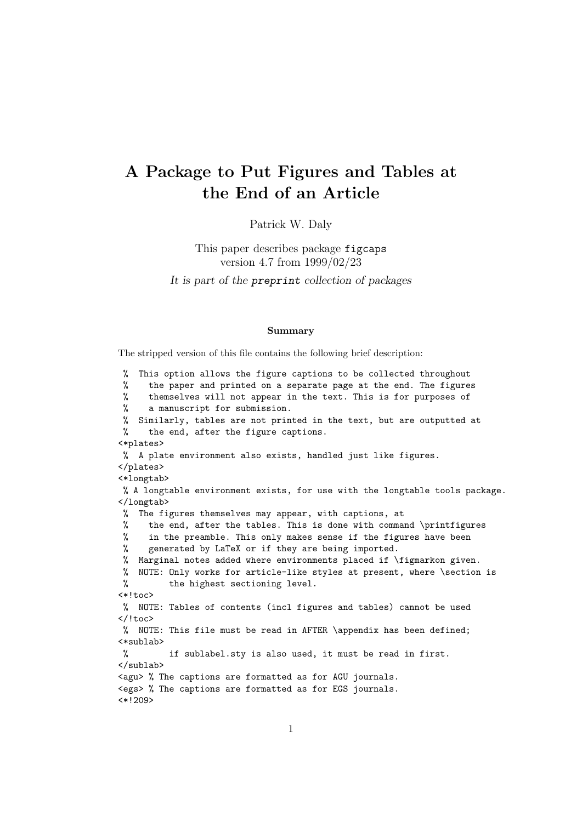# A Package to Put Figures and Tables at the End of an Article

Patrick W. Daly

# This paper describes package figcaps version 4.7 from 1999/02/23 It is part of the preprint collection of packages

#### Summary

The stripped version of this file contains the following brief description:

% This option allows the figure captions to be collected throughout % the paper and printed on a separate page at the end. The figures % themselves will not appear in the text. This is for purposes of % a manuscript for submission. % Similarly, tables are not printed in the text, but are outputted at % the end, after the figure captions. <\*plates> % A plate environment also exists, handled just like figures. </plates> <\*longtab> % A longtable environment exists, for use with the longtable tools package. </longtab> % The figures themselves may appear, with captions, at % the end, after the tables. This is done with command \printfigures % in the preamble. This only makes sense if the figures have been % generated by LaTeX or if they are being imported. % Marginal notes added where environments placed if \figmarkon given. % NOTE: Only works for article-like styles at present, where \section is % the highest sectioning level.  $\left\langle * \right\rangle$  toc> % NOTE: Tables of contents (incl figures and tables) cannot be used </!toc> % NOTE: This file must be read in AFTER \appendix has been defined; <\*sublab> % if sublabel.sty is also used, it must be read in first. </sublab> <agu> % The captions are formatted as for AGU journals. <egs> % The captions are formatted as for EGS journals. <\*!209>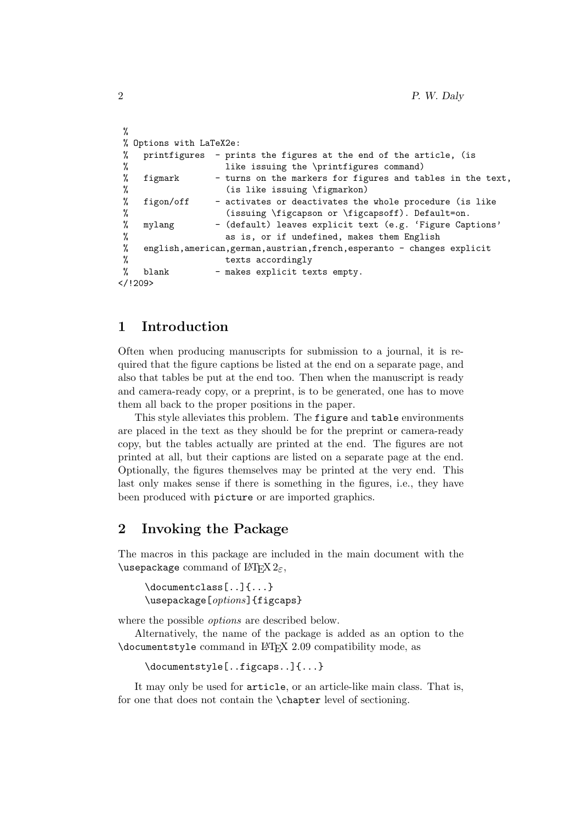```
%
 % Options with LaTeX2e:
 % printfigures - prints the figures at the end of the article, (is
 % like issuing the \printfigures command)<br>% figmark - turns on the markers for figures and ta<br>% (is like issuing \figmarkon)
      figmark - turns on the markers for figures and tables in the text,
 % (is like issuing \figmarkon)<br>% figon/off - activates or deactivates the
 % figon/off - activates or deactivates the whole procedure (is like<br>% (issuing \figcapson or \figcapsoff). Default=on.
 % (issuing \figcapson or \figcapsoff). Default=on.<br>% mylang               (default) leaves explicit text (e.g. 'Figure Cap
 % mylang - (default) leaves explicit text (e.g. 'Figure Captions'<br>% as is, or if undefined, makes them English
                           as is, or if undefined, makes them English
 % english,american,german,austrian,french,esperanto - changes explicit
 % texts accordingly
 % blank - makes explicit texts empty.
</!209>
```
## 1 Introduction

Often when producing manuscripts for submission to a journal, it is required that the figure captions be listed at the end on a separate page, and also that tables be put at the end too. Then when the manuscript is ready and camera-ready copy, or a preprint, is to be generated, one has to move them all back to the proper positions in the paper.

This style alleviates this problem. The figure and table environments are placed in the text as they should be for the preprint or camera-ready copy, but the tables actually are printed at the end. The figures are not printed at all, but their captions are listed on a separate page at the end. Optionally, the figures themselves may be printed at the very end. This last only makes sense if there is something in the figures, i.e., they have been produced with picture or are imported graphics.

### 2 Invoking the Package

The macros in this package are included in the main document with the \usepackage command of  $\operatorname{MTFX2}_{\epsilon}$ ,

\documentclass[..]{...} \usepackage[*options*]{figcaps}

where the possible options are described below.

Alternatively, the name of the package is added as an option to the \documentstyle command in LATEX 2.09 compatibility mode, as

```
\documentstyle[..figcaps..]{...}
```
It may only be used for article, or an article-like main class. That is, for one that does not contain the \chapter level of sectioning.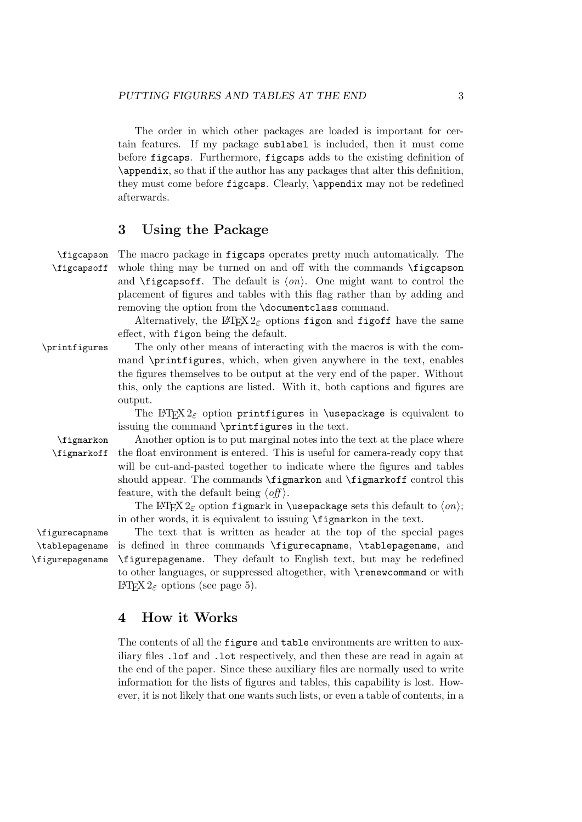The order in which other packages are loaded is important for certain features. If my package sublabel is included, then it must come before figcaps. Furthermore, figcaps adds to the existing definition of \appendix, so that if the author has any packages that alter this definition, they must come before figcaps. Clearly, \appendix may not be redefined afterwards.

## 3 Using the Package

\figcapson The macro package in figcaps operates pretty much automatically. The \figcapsoff whole thing may be turned on and off with the commands \figcapson and  $\text{ifi}\$ capsoff. The default is  $\langle \text{on} \rangle$ . One might want to control the placement of figures and tables with this flag rather than by adding and removing the option from the \documentclass command.

> Alternatively, the LAT<sub>E</sub>X 2<sub>ε</sub> options figon and figoff have the same effect, with figon being the default.

\printfigures The only other means of interacting with the macros is with the command \printfigures, which, when given anywhere in the text, enables the figures themselves to be output at the very end of the paper. Without this, only the captions are listed. With it, both captions and figures are output.

> The LAT<sub>EX</sub>  $2\varepsilon$  option printfigures in \usepackage is equivalent to issuing the command \printfigures in the text.

\tablepagename \figurepagename

\figmarkon Another option is to put marginal notes into the text at the place where \figmarkoff the float environment is entered. This is useful for camera-ready copy that will be cut-and-pasted together to indicate where the figures and tables should appear. The commands \figmarkon and \figmarkoff control this feature, with the default being  $\langle \textit{off} \rangle$ .

> The LAT<sub>F</sub>X 2<sub> $\epsilon$ </sub> option figmark in \usepackage sets this default to  $\langle on \rangle$ ; in other words, it is equivalent to issuing \figmarkon in the text.

\figurecapname The text that is written as header at the top of the special pages is defined in three commands \figurecapname, \tablepagename, and \figurepagename. They default to English text, but may be redefined to other languages, or suppressed altogether, with \renewcommand or with LATEX 2ε options (see page 5).

#### 4 How it Works

The contents of all the figure and table environments are written to auxiliary files .lof and .lot respectively, and then these are read in again at the end of the paper. Since these auxiliary files are normally used to write information for the lists of figures and tables, this capability is lost. However, it is not likely that one wants such lists, or even a table of contents, in a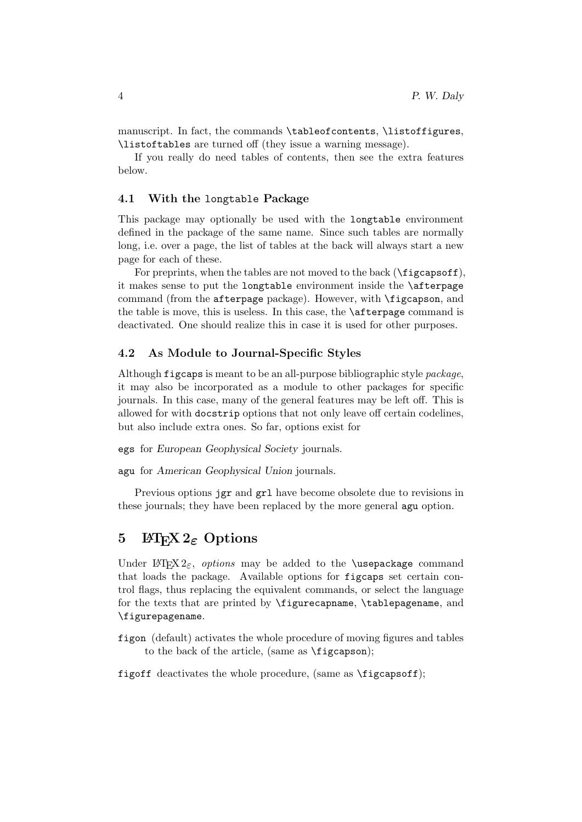manuscript. In fact, the commands \tableofcontents, \listoffigures, \listoftables are turned off (they issue a warning message).

If you really do need tables of contents, then see the extra features below.

#### 4.1 With the longtable Package

This package may optionally be used with the longtable environment defined in the package of the same name. Since such tables are normally long, i.e. over a page, the list of tables at the back will always start a new page for each of these.

For preprints, when the tables are not moved to the back ( $\{figcapsoff\}$ ), it makes sense to put the longtable environment inside the \afterpage command (from the afterpage package). However, with \figcapson, and the table is move, this is useless. In this case, the \afterpage command is deactivated. One should realize this in case it is used for other purposes.

#### 4.2 As Module to Journal-Specific Styles

Although figcaps is meant to be an all-purpose bibliographic style package, it may also be incorporated as a module to other packages for specific journals. In this case, many of the general features may be left off. This is allowed for with docstrip options that not only leave off certain codelines, but also include extra ones. So far, options exist for

egs for European Geophysical Society journals.

agu for American Geophysical Union journals.

Previous options jgr and grl have become obsolete due to revisions in these journals; they have been replaced by the more general agu option.

#### 5 LAT<sub>E</sub>X 2<sub> $\varepsilon$ </sub> Options

Under  $\mathbb{F} \times 2\varepsilon$ , options may be added to the **\usepackage** command that loads the package. Available options for figcaps set certain control flags, thus replacing the equivalent commands, or select the language for the texts that are printed by \figurecapname, \tablepagename, and \figurepagename.

figon (default) activates the whole procedure of moving figures and tables to the back of the article, (same as \figcapson);

figoff deactivates the whole procedure, (same as \figcapsoff);